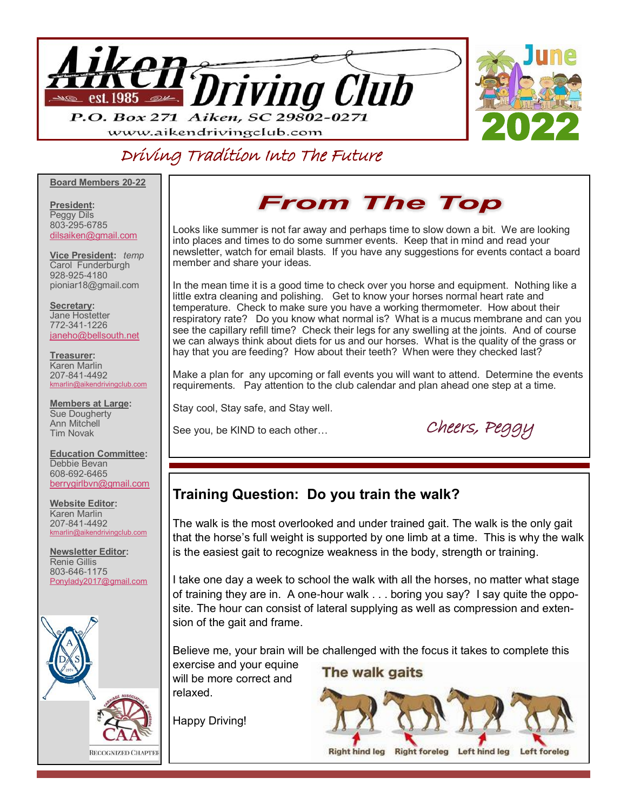

### Driving Tradition Into The Future

**Board Members 20-22**

**President:**  Peggy Dils 803-295-6785 [dilsaiken@gmail.com](mailto:dilsaiken@gmail.com)

**Vice President:** *temp* Carol Funderburgh 928-925-4180 pioniar18@gmail.com

**Secretary:**  Jane Hostetter 772-341-1226 [janeho@bellsouth.net](mailto:janeho@bellsouth.net)

**Treasurer:** Karen Marlin 207-841-4492 [kmarlin@aikendrivingclub.com](mailto:kmarlin@aikendrivingclub.com)

**Members at Large:** Sue Dougherty Ann Mitchell Tim Novak

**Education Committee:** Debbie Bevan 608-692-6465 [berrygirlbvn@gmail.com](mailto:berrygirlbvn@gmail.com)

**Website Editor:**  Karen Marlin 207-841-4492 [kmarlin@aikendrivingclub.com](mailto:kmarlin@aikendrivingclub.com)

**Newsletter Editor:** Renie Gillis 803-646-1175 [Ponylady2017@gmail.com](mailto:Ponylady2017@gmail.com)



## **From The Top**

Looks like summer is not far away and perhaps time to slow down a bit. We are looking into places and times to do some summer events. Keep that in mind and read your newsletter, watch for email blasts. If you have any suggestions for events contact a board member and share your ideas.

In the mean time it is a good time to check over you horse and equipment. Nothing like a little extra cleaning and polishing. Get to know your horses normal heart rate and temperature. Check to make sure you have a working thermometer. How about their respiratory rate? Do you know what normal is? What is a mucus membrane and can you see the capillary refill time? Check their legs for any swelling at the joints. And of course we can always think about diets for us and our horses. What is the quality of the grass or hay that you are feeding? How about their teeth? When were they checked last?

Make a plan for any upcoming or fall events you will want to attend. Determine the events requirements. Pay attention to the club calendar and plan ahead one step at a time.

Stay cool, Stay safe, and Stay well.

See you, be KIND to each other… Cheers, Peggy

#### **Training Question: Do you train the walk?**

The walk is the most overlooked and under trained gait. The walk is the only gait that the horse's full weight is supported by one limb at a time. This is why the walk is the easiest gait to recognize weakness in the body, strength or training.

I take one day a week to school the walk with all the horses, no matter what stage of training they are in. A one-hour walk . . . boring you say? I say quite the opposite. The hour can consist of lateral supplying as well as compression and extension of the gait and frame.

Believe me, your brain will be challenged with the focus it takes to complete this

exercise and your equine will be more correct and relaxed.

Happy Driving!

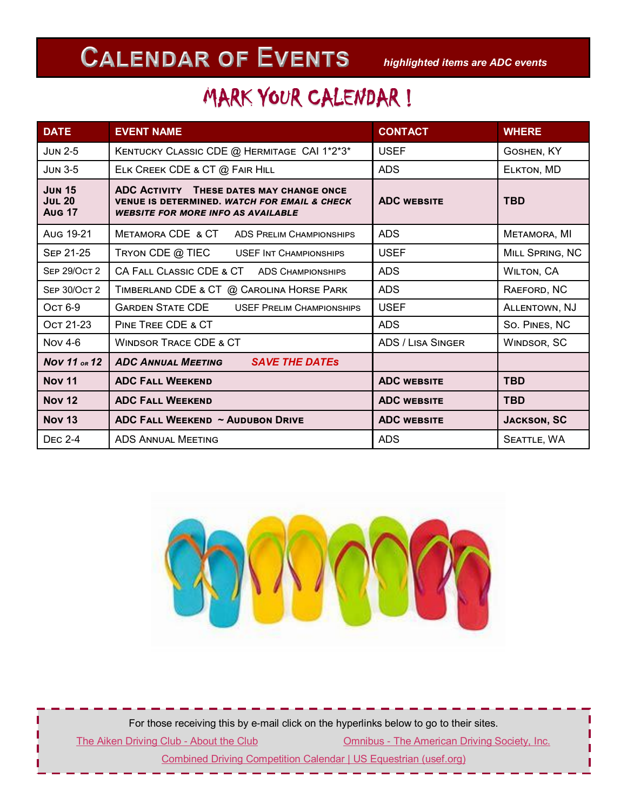# *highlighted items are ADC events*

# MARK YOUR CALENDAR !

| <b>DATE</b>                                     | <b>EVENT NAME</b>                                                                                                                                | <b>CONTACT</b>           | <b>WHERE</b>       |
|-------------------------------------------------|--------------------------------------------------------------------------------------------------------------------------------------------------|--------------------------|--------------------|
| $JUN$ 2-5                                       | KENTUCKY CLASSIC CDE @ HERMITAGE CAI 1*2*3*                                                                                                      | <b>USEF</b>              | GOSHEN, KY         |
| <b>JUN 3-5</b>                                  | ELK CREEK CDE & CT @ FAIR HILL                                                                                                                   | <b>ADS</b>               | ELKTON, MD         |
| <b>JUN 15</b><br><b>JUL 20</b><br><b>Aug 17</b> | ADC ACTIVITY THESE DATES MAY CHANGE ONCE<br><b>VENUE IS DETERMINED. WATCH FOR EMAIL &amp; CHECK</b><br><b>WEBSITE FOR MORE INFO AS AVAILABLE</b> | <b>ADC WEBSITE</b>       | <b>TBD</b>         |
| Aug 19-21                                       | METAMORA CDE & CT<br>ADS PRELIM CHAMPIONSHIPS                                                                                                    | <b>ADS</b>               | METAMORA, MI       |
| <b>SEP 21-25</b>                                | TRYON CDE @ TIEC<br><b>USEF INT CHAMPIONSHIPS</b>                                                                                                | <b>USEF</b>              | MILL SPRING, NC    |
| <b>SEP 29/OCT 2</b>                             | CA FALL CLASSIC CDE & CT ADS CHAMPIONSHIPS                                                                                                       | <b>ADS</b>               | <b>WILTON, CA</b>  |
| <b>SEP 30/OCT 2</b>                             | TIMBERLAND CDE & CT @ CAROLINA HORSE PARK                                                                                                        | <b>ADS</b>               | RAEFORD, NC        |
| Ост 6-9                                         | <b>GARDEN STATE CDE</b><br><b>USEF PRELIM CHAMPIONSHIPS</b>                                                                                      | <b>USEF</b>              | ALLENTOWN, NJ      |
| Ост 21-23                                       | PINE TREE CDE & CT                                                                                                                               | <b>ADS</b>               | So. PINES, NC      |
| <b>Nov 4-6</b>                                  | <b>WINDSOR TRACE CDE &amp; CT</b>                                                                                                                | <b>ADS / LISA SINGER</b> | WINDSOR, SC        |
| Nov 11 or 12                                    | <b>ADC ANNUAL MEETING</b><br><b>SAVE THE DATES</b>                                                                                               |                          |                    |
| <b>Nov 11</b>                                   | <b>ADC FALL WEEKEND</b>                                                                                                                          | <b>ADC WEBSITE</b>       | <b>TBD</b>         |
| <b>Nov 12</b>                                   | <b>ADC FALL WEEKEND</b>                                                                                                                          | <b>ADC WEBSITE</b>       | <b>TBD</b>         |
| <b>Nov 13</b>                                   | <b>ADC FALL WEEKEND ~ AUDUBON DRIVE</b>                                                                                                          | <b>ADC WEBSITE</b>       | <b>JACKSON, SC</b> |
| <b>DEC 2-4</b>                                  | <b>ADS ANNUAL MEETING</b>                                                                                                                        | <b>ADS</b>               | SEATTLE, WA        |



For those receiving this by e-mail click on the hyperlinks below to go to their sites.

[The Aiken Driving Club -](https://www.aikendrivingclub.com/) About the Club Club Club Omnibus - [The American Driving Society, Inc.](https://www.americandrivingsociety.org/content.aspx?page_id=22&club_id=548049&module_id=402015)

[Combined Driving Competition Calendar | US Equestrian \(usef.org\)](https://www.usef.org/compete/disciplines/combined-driving/combined-driving-competition-calendar)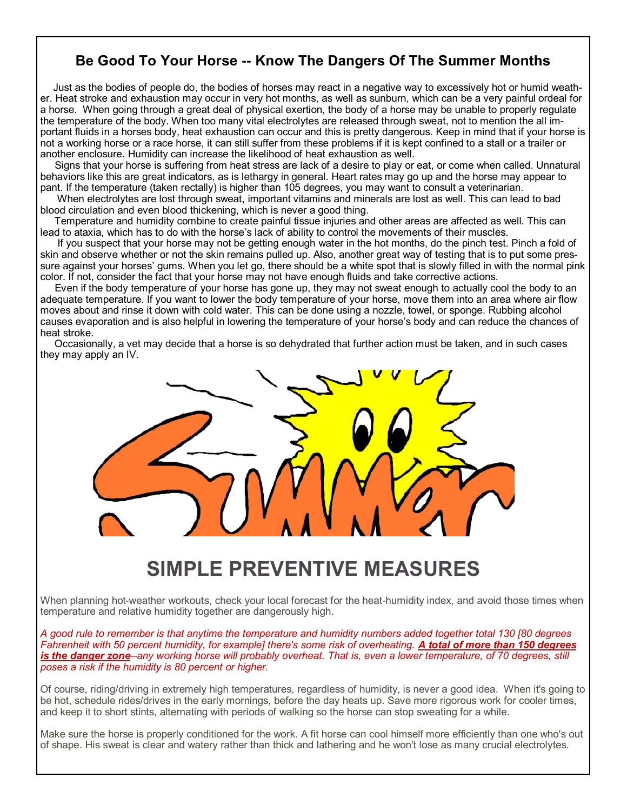#### **Be Good To Your Horse -- Know The Dangers Of The Summer Months**

 Just as the bodies of people do, the bodies of horses may react in a negative way to excessively hot or humid weather. Heat stroke and exhaustion may occur in very hot months, as well as sunburn, which can be a very painful ordeal for a horse. When going through a great deal of physical exertion, the body of a horse may be unable to properly regulate the temperature of the body. When too many vital electrolytes are released through sweat, not to mention the all important fluids in a horses body, heat exhaustion can occur and this is pretty dangerous. Keep in mind that if your horse is not a working horse or a race horse, it can still suffer from these problems if it is kept confined to a stall or a trailer or another enclosure. Humidity can increase the likelihood of heat exhaustion as well.

 Signs that your horse is suffering from heat stress are lack of a desire to play or eat, or come when called. Unnatural behaviors like this are great indicators, as is lethargy in general. Heart rates may go up and the horse may appear to pant. If the temperature (taken rectally) is higher than 105 degrees, you may want to consult a veterinarian.

 When electrolytes are lost through sweat, important vitamins and minerals are lost as well. This can lead to bad blood circulation and even blood thickening, which is never a good thing.

 Temperature and humidity combine to create painful tissue injuries and other areas are affected as well. This can lead to ataxia, which has to do with the horse's lack of ability to control the movements of their muscles.

 If you suspect that your horse may not be getting enough water in the hot months, do the pinch test. Pinch a fold of skin and observe whether or not the skin remains pulled up. Also, another great way of testing that is to put some pressure against your horses' gums. When you let go, there should be a white spot that is slowly filled in with the normal pink color. If not, consider the fact that your horse may not have enough fluids and take corrective actions.

 Even if the body temperature of your horse has gone up, they may not sweat enough to actually cool the body to an adequate temperature. If you want to lower the body temperature of your horse, move them into an area where air flow moves about and rinse it down with cold water. This can be done using a nozzle, towel, or sponge. Rubbing alcohol causes evaporation and is also helpful in lowering the temperature of your horse's body and can reduce the chances of heat stroke.

 Occasionally, a vet may decide that a horse is so dehydrated that further action must be taken, and in such cases they may apply an IV.



## **SIMPLE PREVENTIVE MEASURES**

When planning hot-weather workouts, check your local forecast for the heat-humidity index, and avoid those times when temperature and relative humidity together are dangerously high.

*A good rule to remember is that anytime the temperature and humidity numbers added together total 130 [80 degrees Fahrenheit with 50 percent humidity, for example] there's some risk of overheating. A total of more than 150 degrees is the danger zone--any working horse will probably overheat. That is, even a lower temperature, of 70 degrees, still poses a risk if the humidity is 80 percent or higher.* 

Of course, riding/driving in extremely high temperatures, regardless of humidity, is never a good idea. When it's going to be hot, schedule rides/drives in the early mornings, before the day heats up. Save more rigorous work for cooler times, and keep it to short stints, alternating with periods of walking so the horse can stop sweating for a while.

Make sure the horse is properly conditioned for the work. A fit horse can cool himself more efficiently than one who's out of shape. His sweat is clear and watery rather than thick and lathering and he won't lose as many crucial electrolytes.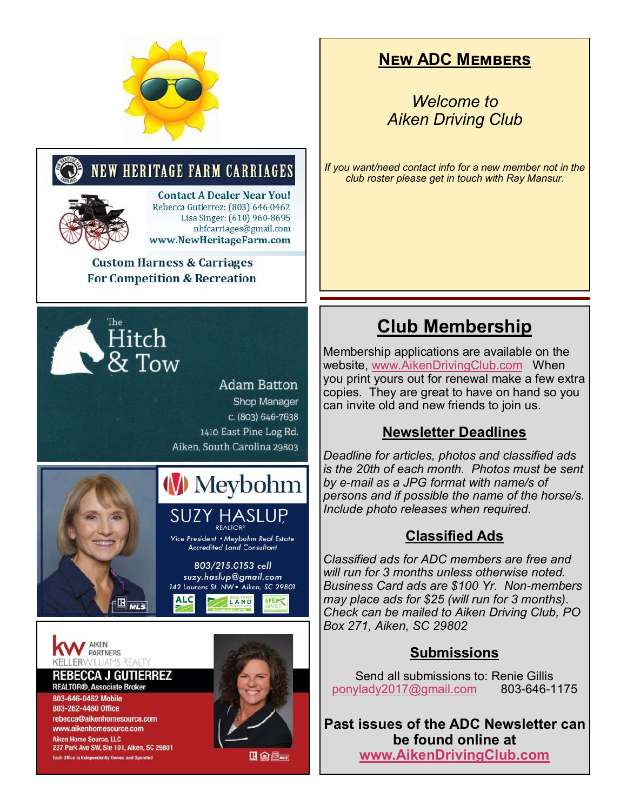

#### **New ADC Members**

*Welcome to Aiken Driving Club*

*If you want/need contact info for a new member not in the club roster please get in touch with Ray Mansur.*

# **Club Membership**

Membership applications are available on the website, [www.AikenDrivingClub.com](http://www.aikendrivingclub.com) When you print yours out for renewal make a few extra copies. They are great to have on hand so you can invite old and new friends to join us.

#### **Newsletter Deadlines**

*Deadline for articles, photos and classified ads is the 20th of each month. Photos must be sent by e-mail as a JPG format with name/s of persons and if possible the name of the horse/s. Include photo releases when required.*

#### **Classified Ads**

*Classified ads for ADC members are free and will run for 3 months unless otherwise noted. Business Card ads are \$100 Yr. Non-members may place ads for \$25 (will run for 3 months). Check can be mailed to Aiken Driving Club, PO Box 271, Aiken, SC 29802*

#### **Submissions**

Send all submissions to: Renie Gillis [ponylady2017@gmail.com](mailto:ponylady2017@gmail.com) 803-646-1175

**Past issues of the ADC Newsletter can be found online at [www.AikenDrivingClub.com](http://www.aikendrivingclub.com)**





**Contact A Dealer Near You!** Rebecca Gutierrez: (803) 646-0462<br>Lisa Singer: (610) 960-8695 nhfcarriages@gmail.com www.NewHeritageFarm.com

**Custom Harness & Carriages For Competition & Recreation** 



#### **Adam Batton** Shop Manager c. (803) 646-7638 1410 East Pine Log Rd. Aiken, South Carolina 29803



# **W** Meybohm BC Jul 2021 to Jul 2022 to Jul 2022 to Jul 2022

Vice President • Meybohm Real Estate **Accredited Land Consultant** 

803/215.0153 cell suzy.haslup@gmail.com 142 Laurens St. NW . Aiken, SC 29801 **ALC** 

LAND

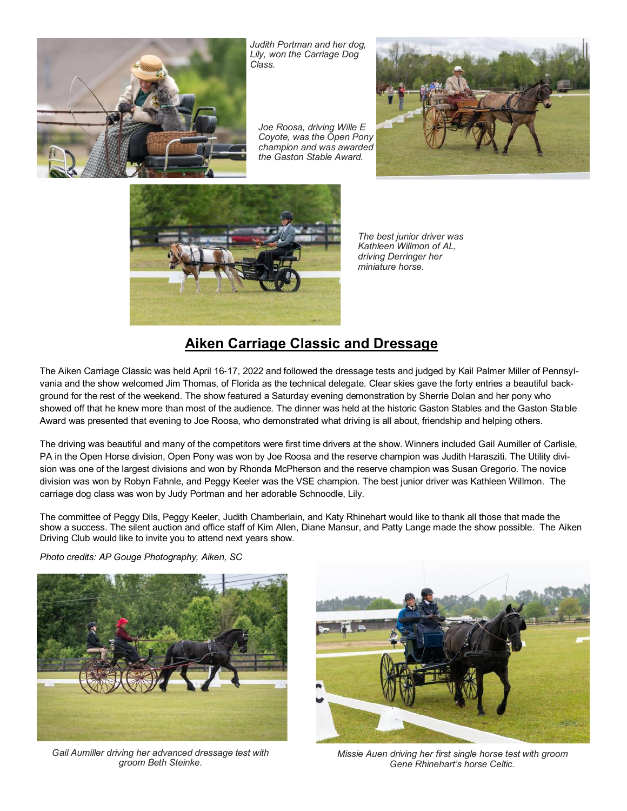

*Judith Portman and her dog, Lily, won the Carriage Dog Class.*

*Joe Roosa, driving Wille E Coyote, was the Open Pony champion and was awarded the Gaston Stable Award.*





*The best junior driver was Kathleen Willmon of AL, driving Derringer her miniature horse.*

#### **Aiken Carriage Classic and Dressage**

The Aiken Carriage Classic was held April 16-17, 2022 and followed the dressage tests and judged by Kail Palmer Miller of Pennsylvania and the show welcomed Jim Thomas, of Florida as the technical delegate. Clear skies gave the forty entries a beautiful background for the rest of the weekend. The show featured a Saturday evening demonstration by Sherrie Dolan and her pony who showed off that he knew more than most of the audience. The dinner was held at the historic Gaston Stables and the Gaston Stable Award was presented that evening to Joe Roosa, who demonstrated what driving is all about, friendship and helping others.

The driving was beautiful and many of the competitors were first time drivers at the show. Winners included Gail Aumiller of Carlisle, PA in the Open Horse division, Open Pony was won by Joe Roosa and the reserve champion was Judith Harasziti. The Utility division was one of the largest divisions and won by Rhonda McPherson and the reserve champion was Susan Gregorio. The novice division was won by Robyn Fahnle, and Peggy Keeler was the VSE champion. The best junior driver was Kathleen Willmon. The carriage dog class was won by Judy Portman and her adorable Schnoodle, Lily.

The committee of Peggy Dils, Peggy Keeler, Judith Chamberlain, and Katy Rhinehart would like to thank all those that made the show a success. The silent auction and office staff of Kim Allen, Diane Mansur, and Patty Lange made the show possible. The Aiken Driving Club would like to invite you to attend next years show.

*Photo credits: AP Gouge Photography, Aiken, SC*



*Gail Aumiller driving her advanced dressage test with groom Beth Steinke.*



*Missie Auen driving her first single horse test with groom Gene Rhinehart's horse Celtic.*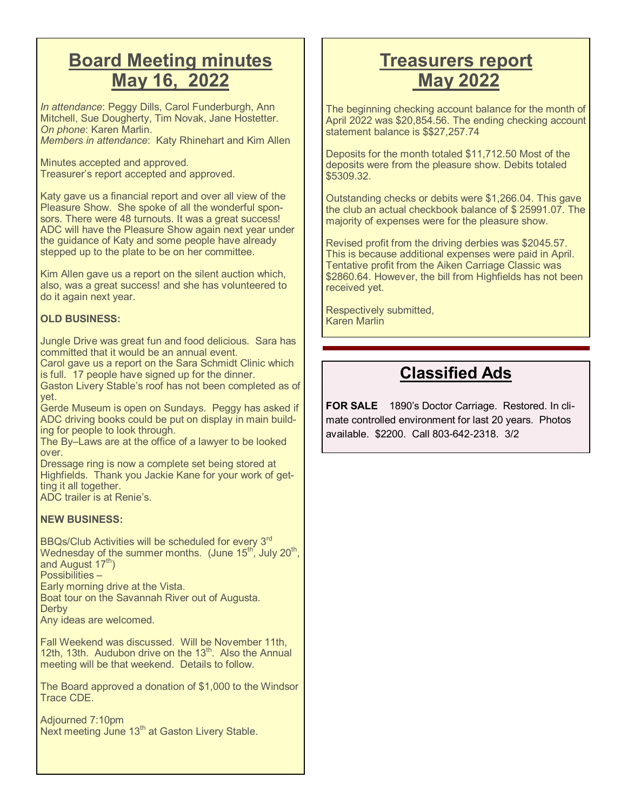### **Board Meeting minutes May 16, 2022**

*In attendance*: Peggy Dills, Carol Funderburgh, Ann Mitchell, Sue Dougherty, Tim Novak, Jane Hostetter. *On phone*: Karen Marlin. *Members in attendance*: Katy Rhinehart and Kim Allen

Minutes accepted and approved. Treasurer's report accepted and approved.

Katy gave us a financial report and over all view of the Pleasure Show. She spoke of all the wonderful sponsors. There were 48 turnouts. It was a great success! ADC will have the Pleasure Show again next year under the guidance of Katy and some people have already stepped up to the plate to be on her committee.

Kim Allen gave us a report on the silent auction which, also, was a great success! and she has volunteered to do it again next year.

#### **OLD BUSINESS:**

Jungle Drive was great fun and food delicious. Sara has committed that it would be an annual event.

Carol gave us a report on the Sara Schmidt Clinic which is full. 17 people have signed up for the dinner.

Gaston Livery Stable's roof has not been completed as of yet.

Gerde Museum is open on Sundays. Peggy has asked if ADC driving books could be put on display in main building for people to look through.

The By–Laws are at the office of a lawyer to be looked over.

Dressage ring is now a complete set being stored at Highfields. Thank you Jackie Kane for your work of getting it all together.

ADC trailer is at Renie's.

#### **NEW BUSINESS:**

BBQs/Club Activities will be scheduled for every 3rd Wednesday of the summer months.  $($ June 15 $^{\text{th}}$ , July 20 $^{\text{th}}$ , and August  $17<sup>th</sup>$ )

Possibilities –

Early morning drive at the Vista.

Boat tour on the Savannah River out of Augusta. **Derby** 

Any ideas are welcomed.

Fall Weekend was discussed. Will be November 11th, 12th, 13th. Audubon drive on the 13<sup>th</sup>. Also the Annual meeting will be that weekend. Details to follow.

The Board approved a donation of \$1,000 to the Windsor Trace CDE.

Adjourned 7:10pm Next meeting June 13<sup>th</sup> at Gaston Livery Stable.

### **Treasurers report May 2022**

The beginning checking account balance for the month of April 2022 was \$20,854.56. The ending checking account statement balance is \$\$27,257.74

Deposits for the month totaled \$11,712.50 Most of the deposits were from the pleasure show. Debits totaled \$5309.32.

Outstanding checks or debits were \$1,266.04. This gave the club an actual checkbook balance of \$ 25991.07. The majority of expenses were for the pleasure show.

Revised profit from the driving derbies was \$2045.57. This is because additional expenses were paid in April. Tentative profit from the Aiken Carriage Classic was \$2860.64. However, the bill from Highfields has not been received yet.

Respectively submitted, Karen Marlin

#### **Classified Ads**

**FOR SALE** 1890's Doctor Carriage. Restored. In climate controlled environment for last 20 years. Photos available. \$2200. Call 803-642-2318. 3/2